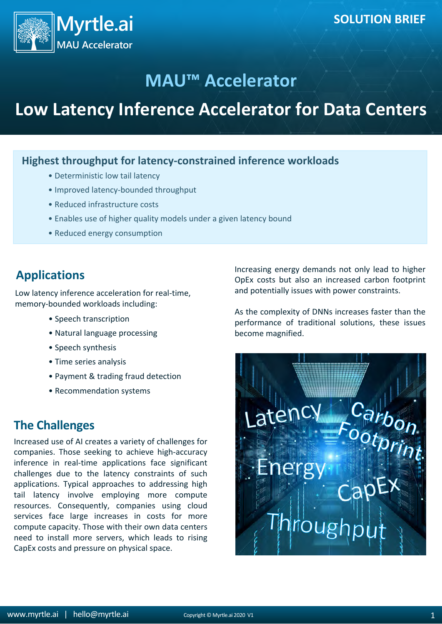

## **MAU™ Accelerator**

# **Low Latency Inference Accelerator for Data Centers**

#### **Highest throughput for latency-constrained inference workloads**

- Deterministic low tail latency
- Improved latency-bounded throughput
- Reduced infrastructure costs
- Enables use of higher quality models under a given latency bound
- Reduced energy consumption

## **Applications**

Low latency inference acceleration for real-time, memory-bounded workloads including:

- Speech transcription
- Natural language processing
- Speech synthesis
- Time series analysis
- Payment & trading fraud detection
- Recommendation systems

## **The Challenges**

Increased use of AI creates a variety of challenges for companies. Those seeking to achieve high-accuracy inference in real-time applications face significant challenges due to the latency constraints of such applications. Typical approaches to addressing high tail latency involve employing more compute resources. Consequently, companies using cloud services face large increases in costs for more compute capacity. Those with their own data centers need to install more servers, which leads to rising CapEx costs and pressure on physical space.

Increasing energy demands not only lead to higher OpEx costs but also an increased carbon footprint and potentially issues with power constraints.

As the complexity of DNNs increases faster than the performance of traditional solutions, these issues become magnified.